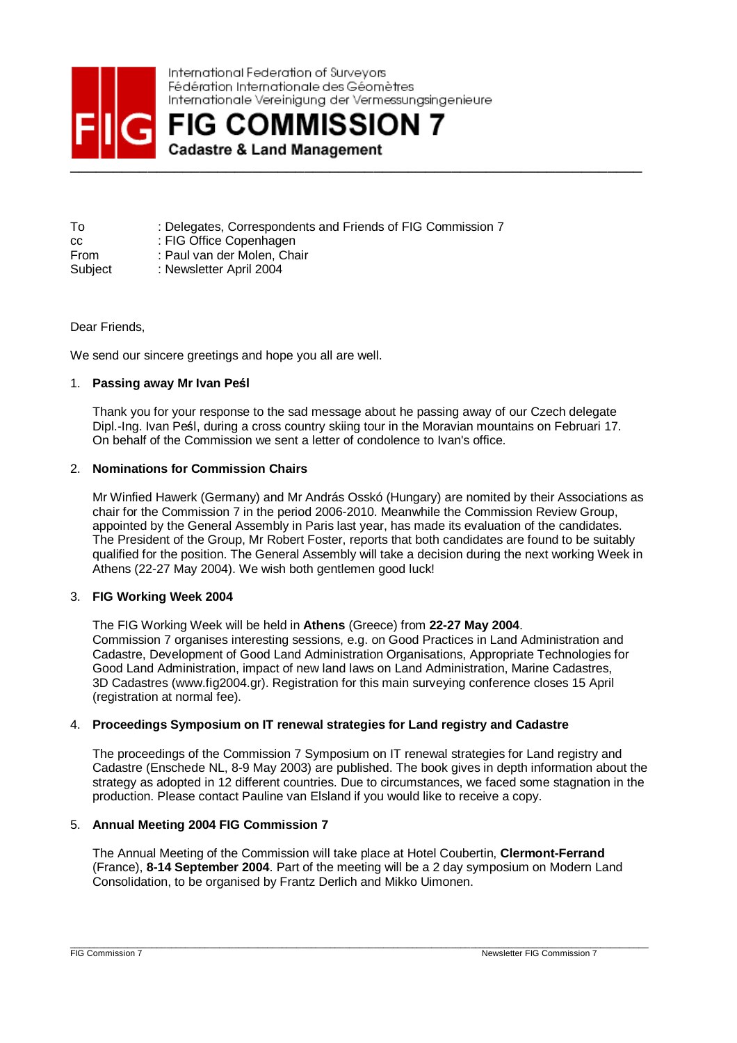

International Federation of Surveyors Fédération Internationale des Géomètres Internationale Vereinigung der Vermessungsingenieure

**\_\_\_\_\_\_\_\_\_\_\_\_\_\_\_\_\_\_\_\_\_\_\_\_\_\_\_\_\_\_\_\_\_\_\_\_\_\_\_\_\_\_\_\_\_\_\_\_\_\_\_\_\_\_\_\_\_\_\_\_\_\_\_\_\_\_** 

| То      | : Delegates, Correspondents and Friends of FIG Commission 7 |
|---------|-------------------------------------------------------------|
| CC.     | : FIG Office Copenhagen                                     |
| From    | : Paul van der Molen. Chair                                 |
| Subject | : Newsletter April 2004                                     |

Dear Friends.

We send our sincere greetings and hope you all are well.

## 1. **Passing away Mr Ivan Pe**ś**<sup>l</sup>**

Thank you for your response to the sad message about he passing away of our Czech delegate Dipl.-Ing. Ivan Peśl, during a cross country skiing tour in the Moravian mountains on Februari 17. On behalf of the Commission we sent a letter of condolence to Ivan's office.

## 2. **Nominations for Commission Chairs**

Mr Winfied Hawerk (Germany) and Mr András Osskó (Hungary) are nomited by their Associations as chair for the Commission 7 in the period 2006-2010. Meanwhile the Commission Review Group, appointed by the General Assembly in Paris last year, has made its evaluation of the candidates. The President of the Group, Mr Robert Foster, reports that both candidates are found to be suitably qualified for the position. The General Assembly will take a decision during the next working Week in Athens (22-27 May 2004). We wish both gentlemen good luck!

## 3. **FIG Working Week 2004**

The FIG Working Week will be held in **Athens** (Greece) from **22-27 May 2004**. Commission 7 organises interesting sessions, e.g. on Good Practices in Land Administration and Cadastre, Development of Good Land Administration Organisations, Appropriate Technologies for Good Land Administration, impact of new land laws on Land Administration, Marine Cadastres, 3D Cadastres (www.fig2004.gr). Registration for this main surveying conference closes 15 April (registration at normal fee).

## 4. **Proceedings Symposium on IT renewal strategies for Land registry and Cadastre**

The proceedings of the Commission 7 Symposium on IT renewal strategies for Land registry and Cadastre (Enschede NL, 8-9 May 2003) are published. The book gives in depth information about the strategy as adopted in 12 different countries. Due to circumstances, we faced some stagnation in the production. Please contact Pauline van Elsland if you would like to receive a copy.

## 5. **Annual Meeting 2004 FIG Commission 7**

The Annual Meeting of the Commission will take place at Hotel Coubertin, **Clermont-Ferrand** (France), **8-14 September 2004**. Part of the meeting will be a 2 day symposium on Modern Land Consolidation, to be organised by Frantz Derlich and Mikko Uimonen.